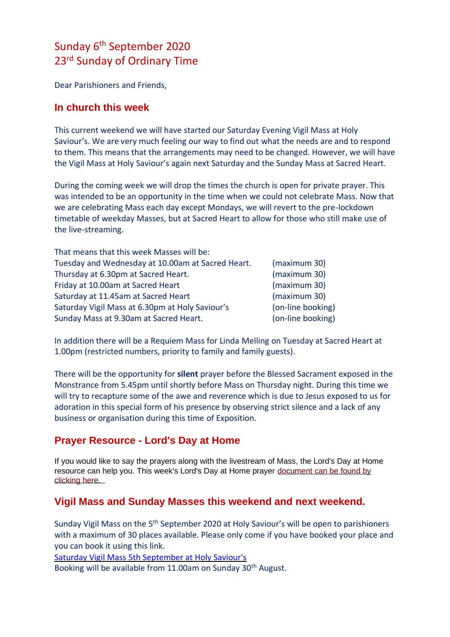# Sunday 6<sup>th</sup> September 2020 23rd Sunday of Ordinary Time

Dear Parishioners and Friends,

#### **In church this week**

This current weekend we will have started our Saturday Evening Vigil Mass at Holy Saviour's. We are very much feeling our way to find out what the needs are and to respond to them. This means that the arrangements may need to be changed. However, we will have the Vigil Mass at Holy Saviour's again next Saturday and the Sunday Mass at Sacred Heart.

During the coming week we will drop the times the church is open for private prayer. This was intended to be an opportunity in the time when we could not celebrate Mass. Now that we are celebrating Mass each day except Mondays, we will revert to the pre-lockdown timetable of weekday Masses, but at Sacred Heart to allow for those who still make use of the live-streaming.

| That means that this week Masses will be:         |                   |
|---------------------------------------------------|-------------------|
| Tuesday and Wednesday at 10.00am at Sacred Heart. | (maximum 30)      |
| Thursday at 6.30pm at Sacred Heart.               | (maximum 30)      |
| Friday at 10.00am at Sacred Heart                 | (maximum 30)      |
| Saturday at 11.45am at Sacred Heart               | (maximum 30)      |
| Saturday Vigil Mass at 6.30pm at Holy Saviour's   | (on-line booking) |
| Sunday Mass at 9.30am at Sacred Heart.            | (on-line booking) |

In addition there will be a Requiem Mass for Linda Melling on Tuesday at Sacred Heart at 1.00pm (restricted numbers, priority to family and family guests).

There will be the opportunity for **silent** prayer before the Blessed Sacrament exposed in the Monstrance from 5.45pm until shortly before Mass on Thursday night. During this time we will try to recapture some of the awe and reverence which is due to Jesus exposed to us for adoration in this special form of his presence by observing strict silence and a lack of any business or organisation during this time of Exposition.

## **Prayer Resource - Lord's Day at Home**

If you would like to say the prayers along with the livestream of Mass, the Lord's Day at Home resource can help you. This week's Lord's Day at Home prayer [document can be found by](https://dioceseofsalford.us6.list-manage.com/track/click?u=76e219dab8653b775ba8aac4c&id=8c52c56304&e=5ce69633f0)  [clicking here.](https://dioceseofsalford.us6.list-manage.com/track/click?u=76e219dab8653b775ba8aac4c&id=8c52c56304&e=5ce69633f0) 

## **Vigil Mass and Sunday Masses this weekend and next weekend.**

Sunday Vigil Mass on the 5<sup>th</sup> September 2020 at Holy Saviour's will be open to parishioners with a maximum of 30 places available. Please only come if you have booked your place and you can book it using this link.

[Saturday Vigil Mass 5th September at Holy Saviour's](https://www.eventbrite.co.uk/e/vigil-mass-at-holy-saviours-church-5th-september-2020-tickets-117828661699)

Booking will be available from 11.00am on Sunday 30<sup>th</sup> August.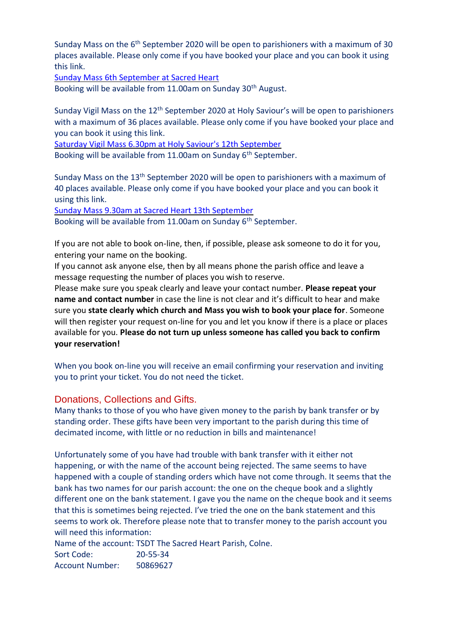Sunday Mass on the 6<sup>th</sup> September 2020 will be open to parishioners with a maximum of 30 places available. Please only come if you have booked your place and you can book it using this link.

Sunday [Mass 6th September at Sacred Heart](https://www.eventbrite.co.uk/e/sunday-mass-tickets-117808924665)

Booking will be available from 11.00am on Sunday 30<sup>th</sup> August.

Sunday Vigil Mass on the 12<sup>th</sup> September 2020 at Holy Saviour's will be open to parishioners with a maximum of 36 places available. Please only come if you have booked your place and you can book it using this link.

[Saturday Vigil Mass 6.30pm at Holy Saviour's 12th September](https://www.eventbrite.co.uk/e/630pm-saturday-evening-vigil-mass-at-holy-saviours-tickets-119668159687)

Booking will be available from 11.00am on Sunday 6<sup>th</sup> September.

Sunday Mass on the 13<sup>th</sup> September 2020 will be open to parishioners with a maximum of 40 places available. Please only come if you have booked your place and you can book it using this link.

[Sunday Mass 9.30am at Sacred Heart 13th September](https://www.eventbrite.co.uk/e/930am-sunday-mass-at-sacred-heart-tickets-119669333197)

Booking will be available from 11.00am on Sunday 6<sup>th</sup> September.

If you are not able to book on-line, then, if possible, please ask someone to do it for you, entering your name on the booking.

If you cannot ask anyone else, then by all means phone the parish office and leave a message requesting the number of places you wish to reserve.

Please make sure you speak clearly and leave your contact number. **Please repeat your name and contact number** in case the line is not clear and it's difficult to hear and make sure you **state clearly which church and Mass you wish to book your place for**. Someone will then register your request on-line for you and let you know if there is a place or places available for you. **Please do not turn up unless someone has called you back to confirm your reservation!**

When you book on-line you will receive an email confirming your reservation and inviting you to print your ticket. You do not need the ticket.

#### Donations, Collections and Gifts.

Many thanks to those of you who have given money to the parish by bank transfer or by standing order. These gifts have been very important to the parish during this time of decimated income, with little or no reduction in bills and maintenance!

Unfortunately some of you have had trouble with bank transfer with it either not happening, or with the name of the account being rejected. The same seems to have happened with a couple of standing orders which have not come through. It seems that the bank has two names for our parish account: the one on the cheque book and a slightly different one on the bank statement. I gave you the name on the cheque book and it seems that this is sometimes being rejected. I've tried the one on the bank statement and this seems to work ok. Therefore please note that to transfer money to the parish account you will need this information:

Name of the account: TSDT The Sacred Heart Parish, Colne.

Sort Code: 20-55-34 Account Number: 50869627